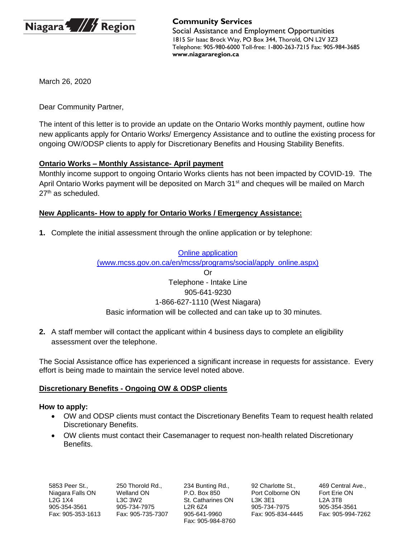

# **Community Services**

Social Assistance and Employment Opportunities 1815 Sir Isaac Brock Way, PO Box 344, Thorold, ON L2V 3Z3 Telephone: 905-980-6000 Toll-free: 1-800-263-7215 Fax: 905-984-3685 **www.niagararegion.ca**

March 26, 2020

Dear Community Partner,

The intent of this letter is to provide an update on the Ontario Works monthly payment, outline how new applicants apply for Ontario Works/ Emergency Assistance and to outline the existing process for ongoing OW/ODSP clients to apply for Discretionary Benefits and Housing Stability Benefits.

### **Ontario Works – Monthly Assistance- April payment**

Monthly income support to ongoing Ontario Works clients has not been impacted by COVID-19. The April Ontario Works payment will be deposited on March 31<sup>st</sup> and cheques will be mailed on March 27<sup>th</sup> as scheduled.

### **New Applicants- How to apply for Ontario Works / Emergency Assistance:**

**1.** Complete the initial assessment through the online application or by telephone:

#### [Online application](https://www.niagararegion.ca/social-services/default.aspx?home_task=1) (www.mcss.gov.on.ca/en/mcss/programs/social/apply\_online.aspx)

# Or Telephone - Intake Line 905-641-9230 1-866-627-1110 (West Niagara) Basic information will be collected and can take up to 30 minutes.

**2.** A staff member will contact the applicant within 4 business days to complete an eligibility assessment over the telephone.

The Social Assistance office has experienced a significant increase in requests for assistance. Every effort is being made to maintain the service level noted above.

### **Discretionary Benefits - Ongoing OW & ODSP clients**

### **How to apply:**

- OW and ODSP clients must contact the Discretionary Benefits Team to request health related Discretionary Benefits.
- OW clients must contact their Casemanager to request non-health related Discretionary Benefits.

234 Bunting Rd., P.O. Box 850 St. Catharines ON L2R 6Z4 905-641-9960 Fax: 905-984-8760

92 Charlotte St., Port Colborne ON L3K 3E1 905-734-7975 Fax: 905-834-4445 469 Central Ave., Fort Erie ON L2A 3T8 905-354-3561 Fax: 905-994-7262